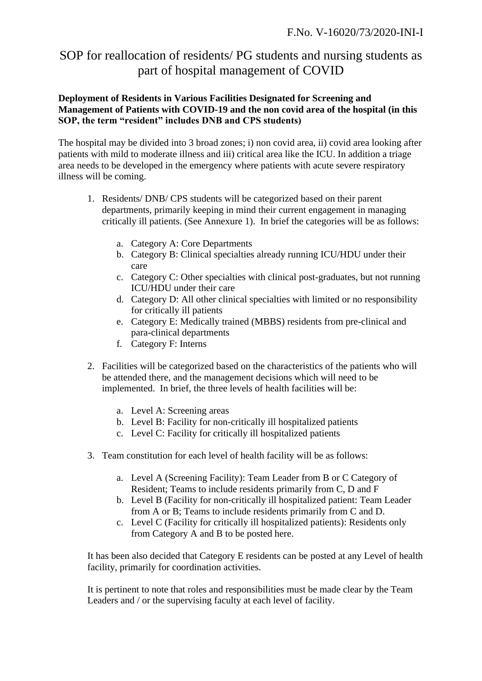# SOP for reallocation of residents/ PG students and nursing students as part of hospital management of COVID

## **Deployment of Residents in Various Facilities Designated for Screening and Management of Patients with COVID-19 and the non covid area of the hospital (in this SOP, the term "resident" includes DNB and CPS students)**

The hospital may be divided into 3 broad zones; i) non covid area, ii) covid area looking after patients with mild to moderate illness and iii) critical area like the ICU. In addition a triage area needs to be developed in the emergency where patients with acute severe respiratory illness will be coming.

- 1. Residents/ DNB/ CPS students will be categorized based on their parent departments, primarily keeping in mind their current engagement in managing critically ill patients. (See Annexure 1). In brief the categories will be as follows:
	- a. Category A: Core Departments
	- b. Category B: Clinical specialties already running ICU/HDU under their care
	- c. Category C: Other specialties with clinical post-graduates, but not running ICU/HDU under their care
	- d. Category D: All other clinical specialties with limited or no responsibility for critically ill patients
	- e. Category E: Medically trained (MBBS) residents from pre-clinical and para-clinical departments
	- f. Category F: Interns
- 2. Facilities will be categorized based on the characteristics of the patients who will be attended there, and the management decisions which will need to be implemented. In brief, the three levels of health facilities will be:
	- a. Level A: Screening areas
	- b. Level B: Facility for non-critically ill hospitalized patients
	- c. Level C: Facility for critically ill hospitalized patients
- 3. Team constitution for each level of health facility will be as follows:
	- a. Level A (Screening Facility): Team Leader from B or C Category of Resident; Teams to include residents primarily from C, D and F
	- b. Level B (Facility for non-critically ill hospitalized patient: Team Leader from A or B; Teams to include residents primarily from C and D.
	- c. Level C (Facility for critically ill hospitalized patients): Residents only from Category A and B to be posted here.

It has been also decided that Category E residents can be posted at any Level of health facility, primarily for coordination activities.

It is pertinent to note that roles and responsibilities must be made clear by the Team Leaders and / or the supervising faculty at each level of facility.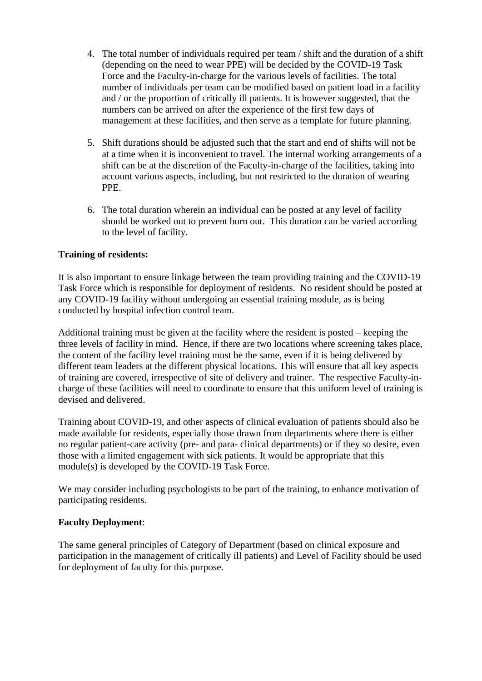- 4. The total number of individuals required per team / shift and the duration of a shift (depending on the need to wear PPE) will be decided by the COVID-19 Task Force and the Faculty-in-charge for the various levels of facilities. The total number of individuals per team can be modified based on patient load in a facility and / or the proportion of critically ill patients. It is however suggested, that the numbers can be arrived on after the experience of the first few days of management at these facilities, and then serve as a template for future planning.
- 5. Shift durations should be adjusted such that the start and end of shifts will not be at a time when it is inconvenient to travel. The internal working arrangements of a shift can be at the discretion of the Faculty-in-charge of the facilities, taking into account various aspects, including, but not restricted to the duration of wearing PPE.
- 6. The total duration wherein an individual can be posted at any level of facility should be worked out to prevent burn out. This duration can be varied according to the level of facility.

## **Training of residents:**

It is also important to ensure linkage between the team providing training and the COVID-19 Task Force which is responsible for deployment of residents. No resident should be posted at any COVID-19 facility without undergoing an essential training module, as is being conducted by hospital infection control team.

Additional training must be given at the facility where the resident is posted – keeping the three levels of facility in mind. Hence, if there are two locations where screening takes place, the content of the facility level training must be the same, even if it is being delivered by different team leaders at the different physical locations. This will ensure that all key aspects of training are covered, irrespective of site of delivery and trainer. The respective Faculty-incharge of these facilities will need to coordinate to ensure that this uniform level of training is devised and delivered.

Training about COVID-19, and other aspects of clinical evaluation of patients should also be made available for residents, especially those drawn from departments where there is either no regular patient-care activity (pre- and para- clinical departments) or if they so desire, even those with a limited engagement with sick patients. It would be appropriate that this module(s) is developed by the COVID-19 Task Force.

We may consider including psychologists to be part of the training, to enhance motivation of participating residents.

#### **Faculty Deployment**:

The same general principles of Category of Department (based on clinical exposure and participation in the management of critically ill patients) and Level of Facility should be used for deployment of faculty for this purpose.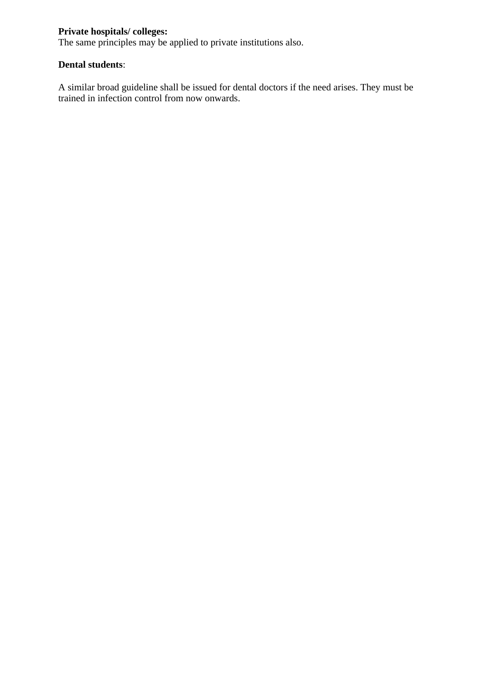## **Private hospitals/ colleges:**

The same principles may be applied to private institutions also.

## **Dental students**:

A similar broad guideline shall be issued for dental doctors if the need arises. They must be trained in infection control from now onwards.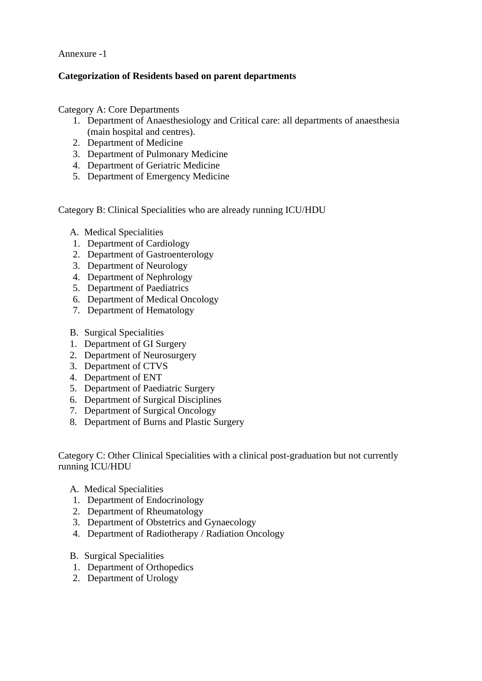Annexure -1

## **Categorization of Residents based on parent departments**

Category A: Core Departments

- 1. Department of Anaesthesiology and Critical care: all departments of anaesthesia (main hospital and centres).
- 2. Department of Medicine
- 3. Department of Pulmonary Medicine
- 4. Department of Geriatric Medicine
- 5. Department of Emergency Medicine

Category B: Clinical Specialities who are already running ICU/HDU

- A. Medical Specialities
- 1. Department of Cardiology
- 2. Department of Gastroenterology
- 3. Department of Neurology
- 4. Department of Nephrology
- 5. Department of Paediatrics
- 6. Department of Medical Oncology
- 7. Department of Hematology
- B. Surgical Specialities
- 1. Department of GI Surgery
- 2. Department of Neurosurgery
- 3. Department of CTVS
- 4. Department of ENT
- 5. Department of Paediatric Surgery
- 6. Department of Surgical Disciplines
- 7. Department of Surgical Oncology
- 8. Department of Burns and Plastic Surgery

Category C: Other Clinical Specialities with a clinical post-graduation but not currently running ICU/HDU

- A. Medical Specialities
- 1. Department of Endocrinology
- 2. Department of Rheumatology
- 3. Department of Obstetrics and Gynaecology
- 4. Department of Radiotherapy / Radiation Oncology
- B. Surgical Specialities
- 1. Department of Orthopedics
- 2. Department of Urology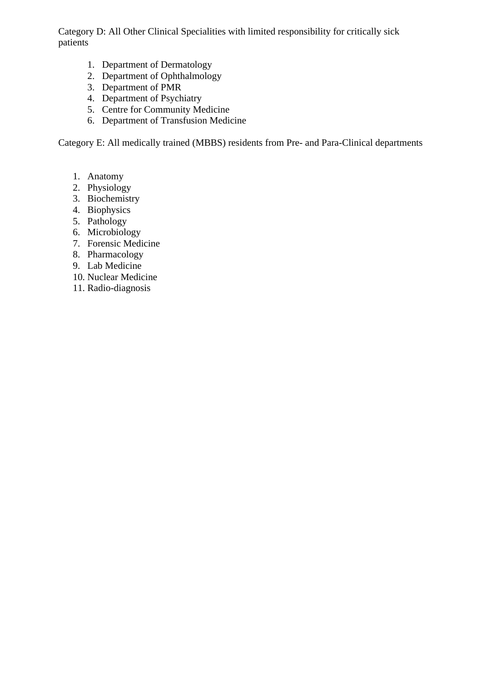Category D: All Other Clinical Specialities with limited responsibility for critically sick patients

- 1. Department of Dermatology
- 2. Department of Ophthalmology
- 3. Department of PMR
- 4. Department of Psychiatry
- 5. Centre for Community Medicine
- 6. Department of Transfusion Medicine

Category E: All medically trained (MBBS) residents from Pre- and Para-Clinical departments

- 1. Anatomy
- 2. Physiology
- 3. Biochemistry
- 4. Biophysics
- 5. Pathology
- 6. Microbiology
- 7. Forensic Medicine
- 8. Pharmacology
- 9. Lab Medicine
- 10. Nuclear Medicine
- 11. Radio-diagnosis